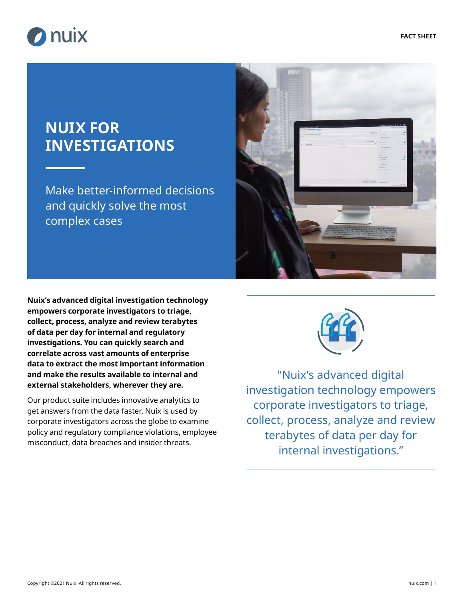

# **NUIX FOR INVESTIGATIONS**

Make better-informed decisions and quickly solve the most complex cases



**Nuix's advanced digital investigation technology empowers corporate investigators to triage, collect, process, analyze and review terabytes of data per day for internal and regulatory investigations. You can quickly search and correlate across vast amounts of enterprise data to extract the most important information and make the results available to internal and external stakeholders, wherever they are.**

Our product suite includes innovative analytics to get answers from the data faster. Nuix is used by corporate investigators across the globe to examine policy and regulatory compliance violations, employee misconduct, data breaches and insider threats.



"Nuix's advanced digital investigation technology empowers corporate investigators to triage, collect, process, analyze and review terabytes of data per day for internal investigations."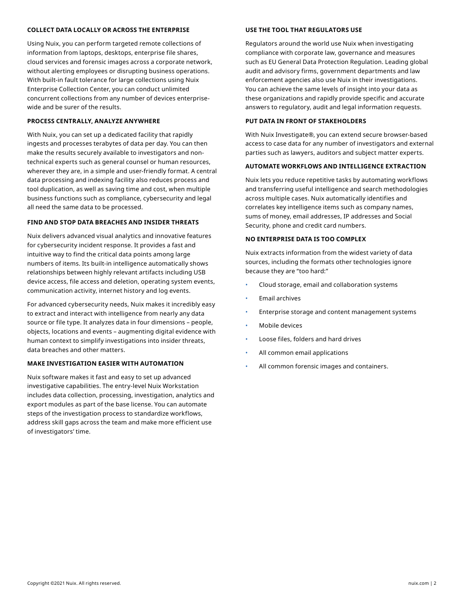#### **COLLECT DATA LOCALLY OR ACROSS THE ENTERPRISE**

Using Nuix, you can perform targeted remote collections of information from laptops, desktops, enterprise file shares, cloud services and forensic images across a corporate network, without alerting employees or disrupting business operations. With built-in fault tolerance for large collections using Nuix Enterprise Collection Center, you can conduct unlimited concurrent collections from any number of devices enterprisewide and be surer of the results.

#### **PROCESS CENTRALLY, ANALYZE ANYWHERE**

With Nuix, you can set up a dedicated facility that rapidly ingests and processes terabytes of data per day. You can then make the results securely available to investigators and nontechnical experts such as general counsel or human resources, wherever they are, in a simple and user-friendly format. A central data processing and indexing facility also reduces process and tool duplication, as well as saving time and cost, when multiple business functions such as compliance, cybersecurity and legal all need the same data to be processed.

#### **FIND AND STOP DATA BREACHES AND INSIDER THREATS**

Nuix delivers advanced visual analytics and innovative features for cybersecurity incident response. It provides a fast and intuitive way to find the critical data points among large numbers of items. Its built-in intelligence automatically shows relationships between highly relevant artifacts including USB device access, file access and deletion, operating system events, communication activity, internet history and log events.

For advanced cybersecurity needs, Nuix makes it incredibly easy to extract and interact with intelligence from nearly any data source or file type. It analyzes data in four dimensions – people, objects, locations and events – augmenting digital evidence with human context to simplify investigations into insider threats, data breaches and other matters.

#### **MAKE INVESTIGATION EASIER WITH AUTOMATION**

Nuix software makes it fast and easy to set up advanced investigative capabilities. The entry-level Nuix Workstation includes data collection, processing, investigation, analytics and export modules as part of the base license. You can automate steps of the investigation process to standardize workflows, address skill gaps across the team and make more efficient use of investigators' time.

#### **USE THE TOOL THAT REGULATORS USE**

Regulators around the world use Nuix when investigating compliance with corporate law, governance and measures such as EU General Data Protection Regulation. Leading global audit and advisory firms, government departments and law enforcement agencies also use Nuix in their investigations. You can achieve the same levels of insight into your data as these organizations and rapidly provide specific and accurate answers to regulatory, audit and legal information requests.

#### **PUT DATA IN FRONT OF STAKEHOLDERS**

With Nuix Investigate®, you can extend secure browser-based access to case data for any number of investigators and external parties such as lawyers, auditors and subject matter experts.

#### **AUTOMATE WORKFLOWS AND INTELLIGENCE EXTRACTION**

Nuix lets you reduce repetitive tasks by automating workflows and transferring useful intelligence and search methodologies across multiple cases. Nuix automatically identifies and correlates key intelligence items such as company names, sums of money, email addresses, IP addresses and Social Security, phone and credit card numbers.

#### **NO ENTERPRISE DATA IS TOO COMPLEX**

Nuix extracts information from the widest variety of data sources, including the formats other technologies ignore because they are "too hard:"

- Cloud storage, email and collaboration systems
- Email archives
- Enterprise storage and content management systems
- Mobile devices
- Loose files, folders and hard drives
- All common email applications
- All common forensic images and containers.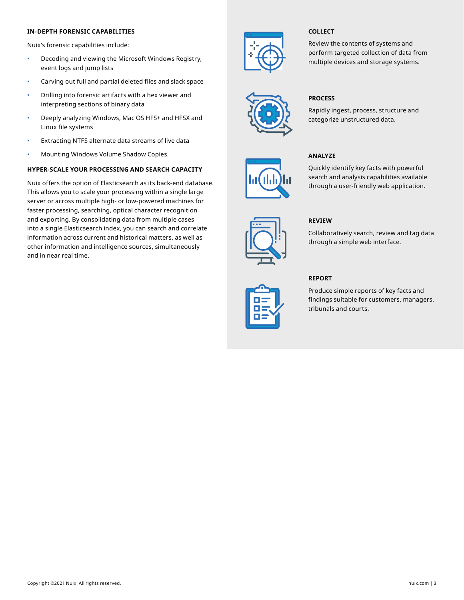#### **IN-DEPTH FORENSIC CAPABILITIES**

Nuix's forensic capabilities include:

- Decoding and viewing the Microsoft Windows Registry, event logs and jump lists
- Carving out full and partial deleted files and slack space
- Drilling into forensic artifacts with a hex viewer and interpreting sections of binary data
- Deeply analyzing Windows, Mac OS HFS+ and HFSX and Linux file systems
- Extracting NTFS alternate data streams of live data
- Mounting Windows Volume Shadow Copies.

#### **HYPER-SCALE YOUR PROCESSING AND SEARCH CAPACITY**

Nuix offers the option of Elasticsearch as its back-end database. This allows you to scale your processing within a single large server or across multiple high- or low-powered machines for faster processing, searching, optical character recognition and exporting. By consolidating data from multiple cases into a single Elasticsearch index, you can search and correlate information across current and historical matters, as well as other information and intelligence sources, simultaneously and in near real time.



#### **COLLECT**

Review the contents of systems and perform targeted collection of data from multiple devices and storage systems.



#### **PROCESS**

**ANALYZE**

Rapidly ingest, process, structure and categorize unstructured data.

Quickly identify key facts with powerful search and analysis capabilities available through a user-friendly web application.





### **REPORT**

**REVIEW** 

Produce simple reports of key facts and findings suitable for customers, managers, tribunals and courts.

Collaboratively search, review and tag data

through a simple web interface.